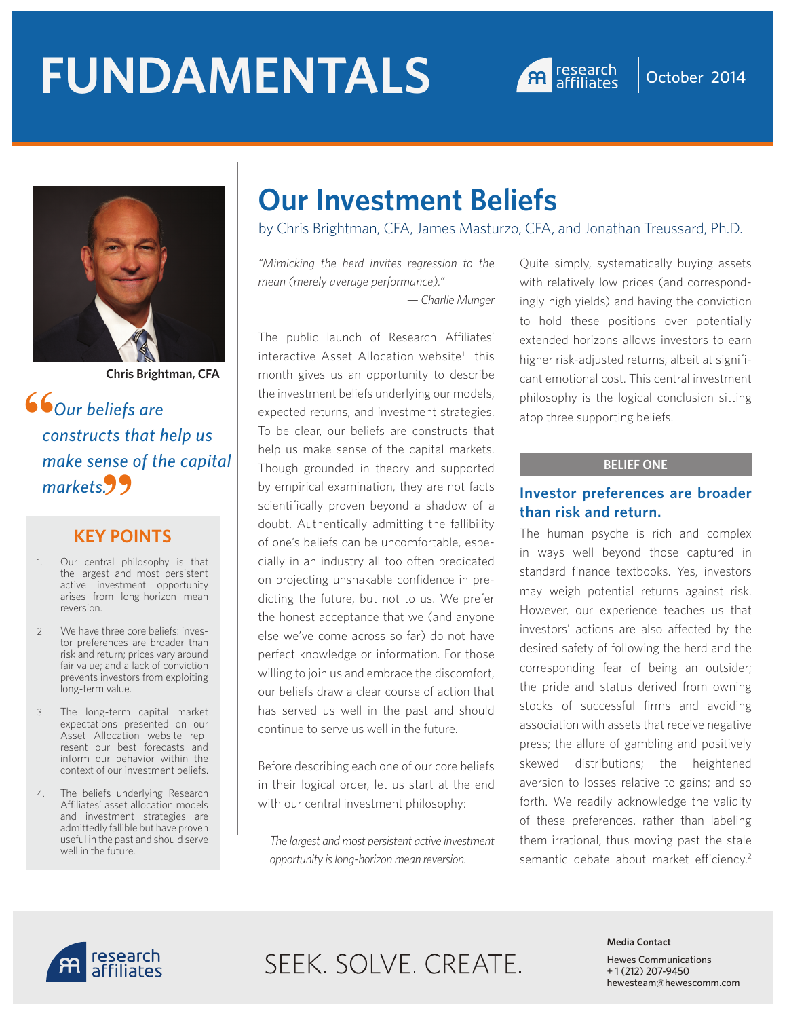# **FUNDAMENTALS A research October 2014**





**Chris Brightman, CFA**

*Our beliefs are constructs that help us make sense of the capital*  **"** *markets.* **"**

### **KEY POINTS**

- 1. Our central philosophy is that the largest and most persistent active investment opportunity arises from long-horizon mean reversion.
- 2. We have three core beliefs: investor preferences are broader than risk and return; prices vary around fair value; and a lack of conviction prevents investors from exploiting long-term value.
- 3. The long-term capital market expectations presented on our Asset Allocation website represent our best forecasts and inform our behavior within the context of our investment beliefs.
- 4. The beliefs underlying Research Affiliates' asset allocation models and investment strategies are admittedly fallible but have proven useful in the past and should serve well in the future.

# **Our Investment Beliefs**

by Chris Brightman, CFA, James Masturzo, CFA, and Jonathan Treussard, Ph.D.

*"Mimicking the herd invites regression to the mean (merely average performance)." — Charlie Munger*

The public launch of Research Affiliates' interactive Asset Allocation website<sup>1</sup> this month gives us an opportunity to describe the investment beliefs underlying our models, expected returns, and investment strategies. To be clear, our beliefs are constructs that help us make sense of the capital markets. Though grounded in theory and supported by empirical examination, they are not facts scientifically proven beyond a shadow of a doubt. Authentically admitting the fallibility of one's beliefs can be uncomfortable, especially in an industry all too often predicated on projecting unshakable confidence in predicting the future, but not to us. We prefer the honest acceptance that we (and anyone else we've come across so far) do not have perfect knowledge or information. For those willing to join us and embrace the discomfort, our beliefs draw a clear course of action that has served us well in the past and should continue to serve us well in the future.

Before describing each one of our core beliefs in their logical order, let us start at the end with our central investment philosophy:

*The largest and most persistent active investment opportunity is long-horizon mean reversion.* 

Quite simply, systematically buying assets with relatively low prices (and correspondingly high yields) and having the conviction to hold these positions over potentially extended horizons allows investors to earn higher risk-adjusted returns, albeit at significant emotional cost. This central investment philosophy is the logical conclusion sitting atop three supporting beliefs.

### **BELIEF ONE**

### **Investor preferences are broader than risk and return.**

The human psyche is rich and complex in ways well beyond those captured in standard finance textbooks. Yes, investors may weigh potential returns against risk. However, our experience teaches us that investors' actions are also affected by the desired safety of following the herd and the corresponding fear of being an outsider; the pride and status derived from owning stocks of successful firms and avoiding association with assets that receive negative press; the allure of gambling and positively skewed distributions; the heightened aversion to losses relative to gains; and so forth. We readily acknowledge the validity of these preferences, rather than labeling them irrational, thus moving past the stale semantic debate about market efficiency.<sup>2</sup>



# SEEK. SOLVE. CREATE.

#### **Media Contact**

Hewes Communications + 1 (212) 207-9450 hewesteam@hewescomm.com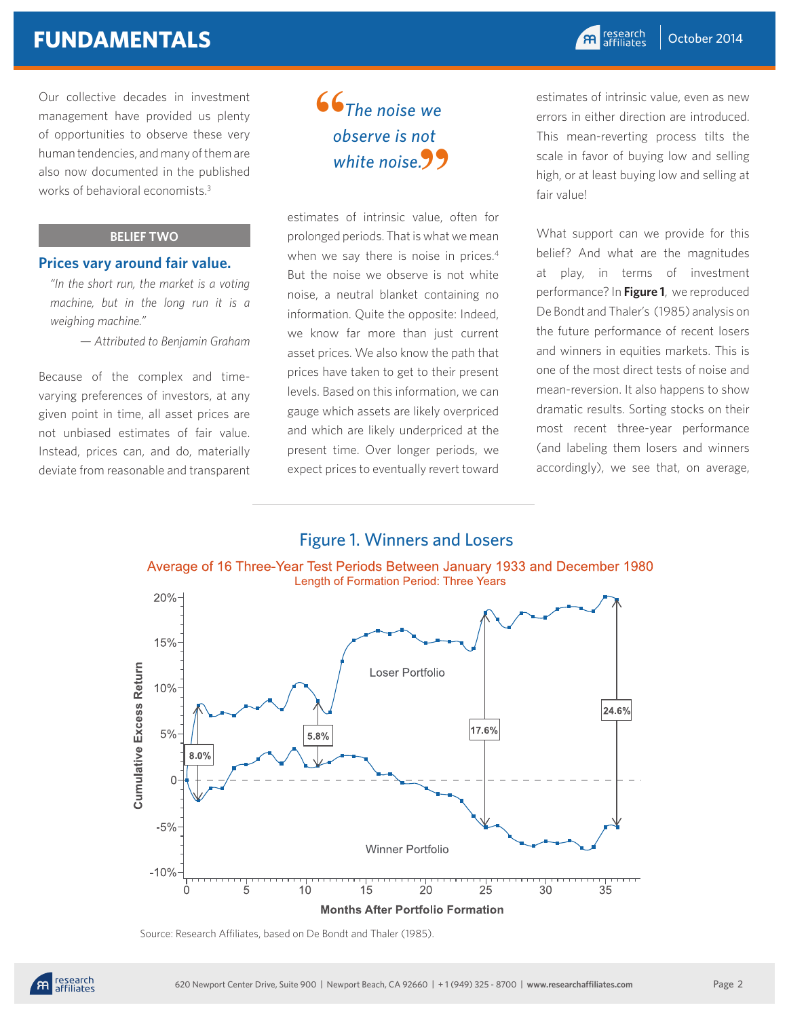## **FUNDAMENTALS**

Our collective decades in investment management have provided us plenty of opportunities to observe these very human tendencies, and many of them are also now documented in the published works of behavioral economists.3

### **BELIEF TWO**

### **Prices vary around fair value.**

*"In the short run, the market is a voting machine, but in the long run it is a weighing machine."* 

*— Attributed to Benjamin Graham*

Because of the complex and timevarying preferences of investors, at any given point in time, all asset prices are not unbiased estimates of fair value. Instead, prices can, and do, materially deviate from reasonable and transparent

### *The noise we observe is not white noise.* **" "**

estimates of intrinsic value, often for prolonged periods. That is what we mean when we say there is noise in prices.<sup>4</sup> But the noise we observe is not white noise, a neutral blanket containing no information. Quite the opposite: Indeed, we know far more than just current asset prices. We also know the path that prices have taken to get to their present levels. Based on this information, we can gauge which assets are likely overpriced and which are likely underpriced at the present time. Over longer periods, we expect prices to eventually revert toward

estimates of intrinsic value, even as new errors in either direction are introduced. This mean-reverting process tilts the scale in favor of buying low and selling high, or at least buying low and selling at fair value!

What support can we provide for this belief? And what are the magnitudes at play, in terms of investment performance? In **Figure 1**, we reproduced De Bondt and Thaler's (1985) analysis on the future performance of recent losers and winners in equities markets. This is one of the most direct tests of noise and mean-reversion. It also happens to show dramatic results. Sorting stocks on their most recent three-year performance (and labeling them losers and winners accordingly), we see that, on average,

# Figure 1. Winners and Losers





Source: Research Affiliates, based on De Bondt and Thaler (1985).

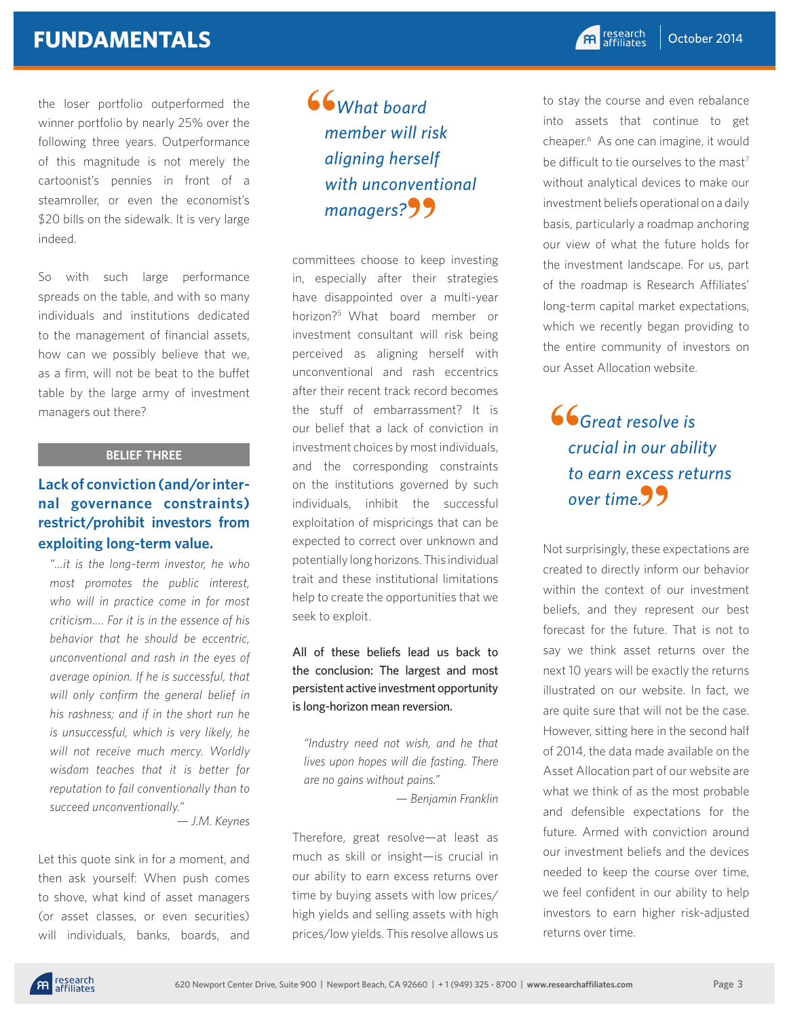# **FUNDAMENTALS**

the loser portfolio outperformed the winner portfolio by nearly 25% over the following three years. Outperformance of this magnitude is not merely the cartoonist's pennies in front of a steamroller, or even the economist's \$20 bills on the sidewalk. It is very large indeed.

So with such large performance spreads on the table, and with so many individuals and institutions dedicated to the management of financial assets, how can we possibly believe that we, as a firm, will not be beat to the buffet table by the large army of investment managers out there?

### **BELIEF THREE**

### **Lack of conviction (and/or internal governance constraints) restrict/prohibit investors from exploiting long-term value.**

*"…it is the long-term investor, he who most promotes the public interest, who will in practice come in for most criticism…. For it is in the essence of his behavior that he should be eccentric, unconventional and rash in the eyes of average opinion. If he is successful, that will only confirm the general belief in his rashness; and if in the short run he is unsuccessful, which is very likely, he will not receive much mercy. Worldly wisdom teaches that it is better for reputation to fail conventionally than to succeed unconventionally."* 

*— J.M. Keynes*

Let this quote sink in for a moment, and then ask yourself: When push comes to shove, what kind of asset managers (or asset classes, or even securities) will individuals, banks, boards, and

### *What board member will risk aligning herself with unconventional*  with unconvent<br>managers?"? **"**

committees choose to keep investing in, especially after their strategies have disappointed over a multi-year horizon?5 What board member or investment consultant will risk being perceived as aligning herself with unconventional and rash eccentrics after their recent track record becomes the stuff of embarrassment? It is our belief that a lack of conviction in investment choices by most individuals, and the corresponding constraints on the institutions governed by such individuals, inhibit the successful exploitation of mispricings that can be expected to correct over unknown and potentially long horizons. This individual trait and these institutional limitations help to create the opportunities that we seek to exploit.

### All of these beliefs lead us back to the conclusion: The largest and most persistent active investment opportunity is long-horizon mean reversion.

*"Industry need not wish, and he that lives upon hopes will die fasting. There are no gains without pains."* 

*— Benjamin Franklin*

Therefore, great resolve—at least as much as skill or insight—is crucial in our ability to earn excess returns over time by buying assets with low prices/ high yields and selling assets with high prices/low yields. This resolve allows us

to stay the course and even rebalance into assets that continue to get cheaper.6 As one can imagine, it would be difficult to tie ourselves to the mast<sup>7</sup> without analytical devices to make our investment beliefs operational on a daily basis, particularly a roadmap anchoring our view of what the future holds for the investment landscape. For us, part of the roadmap is Research Affiliates' long-term capital market expectations, which we recently began providing to the entire community of investors on our Asset Allocation website.

### *Great resolve is crucial in our ability to earn excess returns over time.* **"66**<br>cr

Not surprisingly, these expectations are created to directly inform our behavior within the context of our investment beliefs, and they represent our best forecast for the future. That is not to say we think asset returns over the next 10 years will be exactly the returns illustrated on our website. In fact, we are quite sure that will not be the case. However, sitting here in the second half of 2014, the data made available on the Asset Allocation part of our website are what we think of as the most probable and defensible expectations for the future. Armed with conviction around our investment beliefs and the devices needed to keep the course over time, we feel confident in our ability to help investors to earn higher risk-adjusted returns over time.